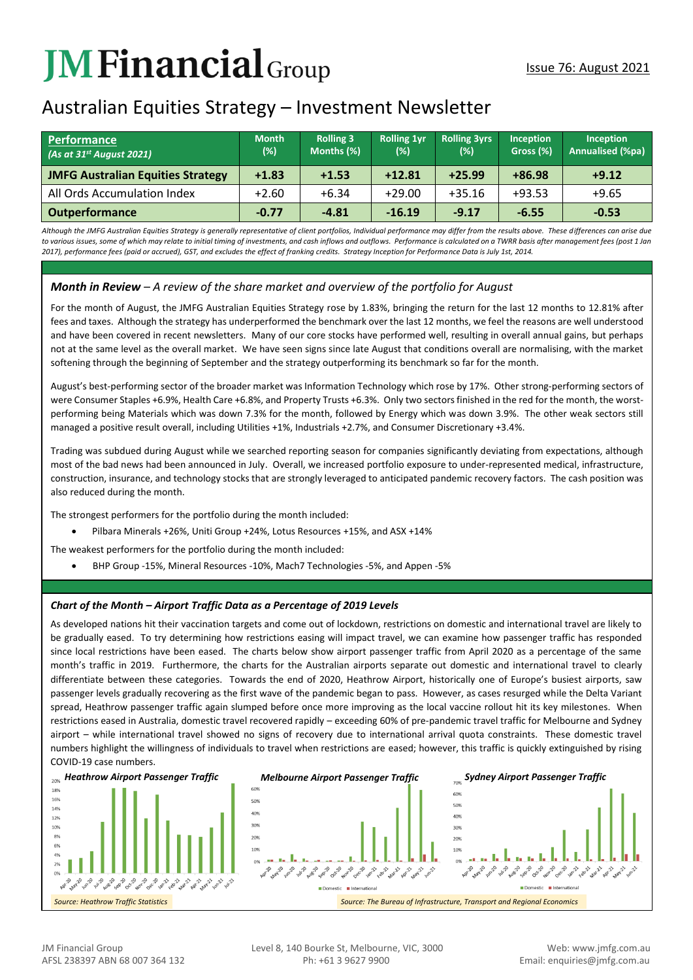# **JMFinancial**Group

## Australian Equities Strategy – Investment Newsletter

| <b>Performance</b><br>(As at $31st$ August 2021) | <b>Month</b><br>$(\%)$ | <b>Rolling 3</b><br>Months (%) | <b>Rolling 1yr</b><br>(%) | <b>Rolling 3yrs</b><br>(%) | <b>Inception</b><br>Gross (%) | Inception<br>Annualised (%pa) |
|--------------------------------------------------|------------------------|--------------------------------|---------------------------|----------------------------|-------------------------------|-------------------------------|
| <b>JMFG Australian Equities Strategy</b>         | $+1.83$                | $+1.53$                        | $+12.81$                  | $+25.99$                   | $+86.98$                      | $+9.12$                       |
| All Ords Accumulation Index                      | $+2.60$                | $+6.34$                        | $+29.00$                  | $+35.16$                   | $+93.53$                      | $+9.65$                       |
| <b>Outperformance</b>                            | $-0.77$                | $-4.81$                        | $-16.19$                  | $-9.17$                    | $-6.55$                       | $-0.53$                       |

*Although the JMFG Australian Equities Strategy is generally representative of client portfolios, Individual performance may differ from the results above. These differences can arise due*  to various issues, some of which may relate to initial timing of investments, and cash inflows and outflows. Performance is calculated on a TWRR basis after management fees (post 1 Jan *2017), performance fees (paid or accrued), GST, and excludes the effect of franking credits. Strategy Inception for Performance Data is July 1st, 2014.*

### *Month in Review – A review of the share market and overview of the portfolio for August*

For the month of August, the JMFG Australian Equities Strategy rose by 1.83%, bringing the return for the last 12 months to 12.81% after fees and taxes. Although the strategy has underperformed the benchmark over the last 12 months, we feel the reasons are well understood and have been covered in recent newsletters. Many of our core stocks have performed well, resulting in overall annual gains, but perhaps not at the same level as the overall market. We have seen signs since late August that conditions overall are normalising, with the market softening through the beginning of September and the strategy outperforming its benchmark so far for the month.

August's best-performing sector of the broader market was Information Technology which rose by 17%. Other strong-performing sectors of were Consumer Staples +6.9%, Health Care +6.8%, and Property Trusts +6.3%. Only two sectors finished in the red for the month, the worstperforming being Materials which was down 7.3% for the month, followed by Energy which was down 3.9%. The other weak sectors still managed a positive result overall, including Utilities +1%, Industrials +2.7%, and Consumer Discretionary +3.4%.

Trading was subdued during August while we searched reporting season for companies significantly deviating from expectations, although most of the bad news had been announced in July. Overall, we increased portfolio exposure to under-represented medical, infrastructure, construction, insurance, and technology stocks that are strongly leveraged to anticipated pandemic recovery factors. The cash position was also reduced during the month.

The strongest performers for the portfolio during the month included:

- Pilbara Minerals +26%, Uniti Group +24%, Lotus Resources +15%, and ASX +14%
- The weakest performers for the portfolio during the month included:
	- BHP Group -15%, Mineral Resources -10%, Mach7 Technologies -5%, and Appen -5%

#### *Chart of the Month – Airport Traffic Data as a Percentage of 2019 Levels*

As developed nations hit their vaccination targets and come out of lockdown, restrictions on domestic and international travel are likely to be gradually eased. To try determining how restrictions easing will impact travel, we can examine how passenger traffic has responded since local restrictions have been eased. The charts below show airport passenger traffic from April 2020 as a percentage of the same month's traffic in 2019. Furthermore, the charts for the Australian airports separate out domestic and international travel to clearly differentiate between these categories. Towards the end of 2020, Heathrow Airport, historically one of Europe's busiest airports, saw passenger levels gradually recovering as the first wave of the pandemic began to pass. However, as cases resurged while the Delta Variant spread, Heathrow passenger traffic again slumped before once more improving as the local vaccine rollout hit its key milestones. When restrictions eased in Australia, domestic travel recovered rapidly – exceeding 60% of pre-pandemic travel traffic for Melbourne and Sydney airport – while international travel showed no signs of recovery due to international arrival quota constraints. These domestic travel numbers highlight the willingness of individuals to travel when restrictions are eased; however, this traffic is quickly extinguished by rising COVID-19 case numbers.